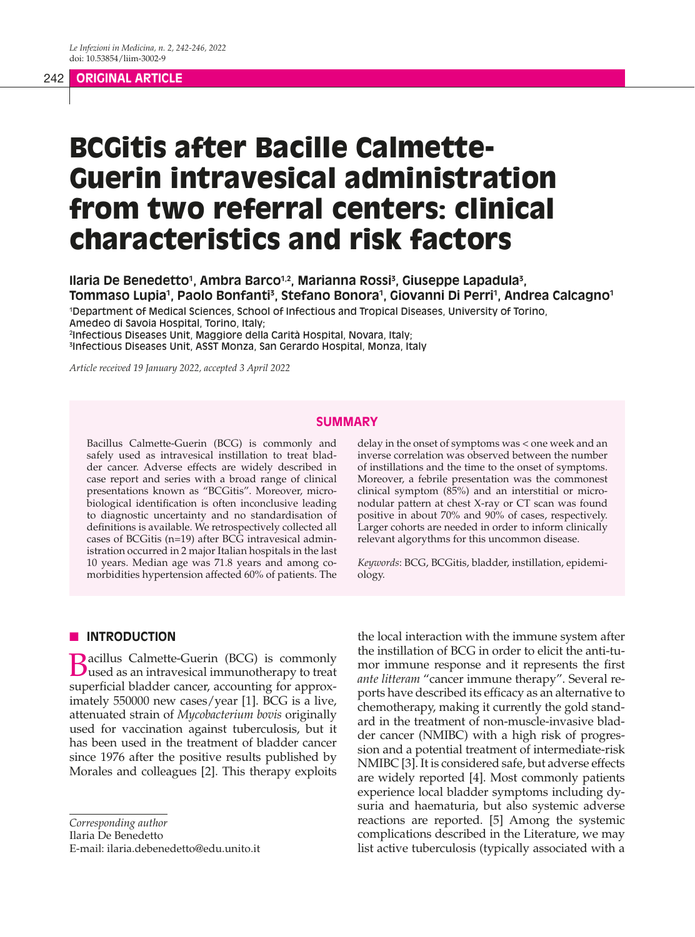### 242 **ORIGINAL ARTICLE**

# BCGitis after Bacille Calmette-Guerin intravesical administration from two referral centers: clinical characteristics and risk factors

Ilaria De Benedetto<sup>1</sup>, Ambra Barco<sup>1,2</sup>, Marianna Rossi<sup>3</sup>, Giuseppe Lapadula<sup>3</sup>, Tommaso Lupia', Paolo Bonfanti<sup>s</sup>, Stefano Bonora', Giovanni Di Perri', Andrea Calcagno'

1 Department of Medical Sciences, School of Infectious and Tropical Diseases, University of Torino, Amedeo di Savoia Hospital, Torino, Italy;

2 Infectious Diseases Unit, Maggiore della Carità Hospital, Novara, Italy; 3 Infectious Diseases Unit, ASST Monza, San Gerardo Hospital, Monza, Italy

*Article received 19 January 2022, accepted 3 April 2022*

#### **SUMMARY**

Bacillus Calmette-Guerin (BCG) is commonly and safely used as intravesical instillation to treat bladder cancer. Adverse effects are widely described in case report and series with a broad range of clinical presentations known as "BCGitis". Moreover, microbiological identification is often inconclusive leading to diagnostic uncertainty and no standardisation of definitions is available. We retrospectively collected all cases of BCGitis (n=19) after BCG intravesical administration occurred in 2 major Italian hospitals in the last 10 years. Median age was 71.8 years and among comorbidities hypertension affected 60% of patients. The

**N** INTRODUCTION

Bacillus Calmette-Guerin (BCG) is commonly used as an intravesical immunotherapy to treat superficial bladder cancer, accounting for approximately 550000 new cases/year [1]. BCG is a live, attenuated strain of *Mycobacterium bovis* originally used for vaccination against tuberculosis, but it has been used in the treatment of bladder cancer since 1976 after the positive results published by Morales and colleagues [2]. This therapy exploits

*Corresponding author*

Ilaria De Benedetto

E-mail: ilaria.debenedetto@edu.unito.it

delay in the onset of symptoms was < one week and an inverse correlation was observed between the number of instillations and the time to the onset of symptoms. Moreover, a febrile presentation was the commonest clinical symptom (85%) and an interstitial or micronodular pattern at chest X-ray or CT scan was found positive in about 70% and 90% of cases, respectively. Larger cohorts are needed in order to inform clinically relevant algorythms for this uncommon disease.

*Keywords*: BCG, BCGitis, bladder, instillation, epidemiology.

the local interaction with the immune system after the instillation of BCG in order to elicit the anti-tumor immune response and it represents the first *ante litteram* "cancer immune therapy". Several reports have described its efficacy as an alternative to chemotherapy, making it currently the gold standard in the treatment of non-muscle-invasive bladder cancer (NMIBC) with a high risk of progression and a potential treatment of intermediate-risk NMIBC [3]. It is considered safe, but adverse effects are widely reported [4]. Most commonly patients experience local bladder symptoms including dysuria and haematuria, but also systemic adverse reactions are reported. [5] Among the systemic complications described in the Literature, we may list active tuberculosis (typically associated with a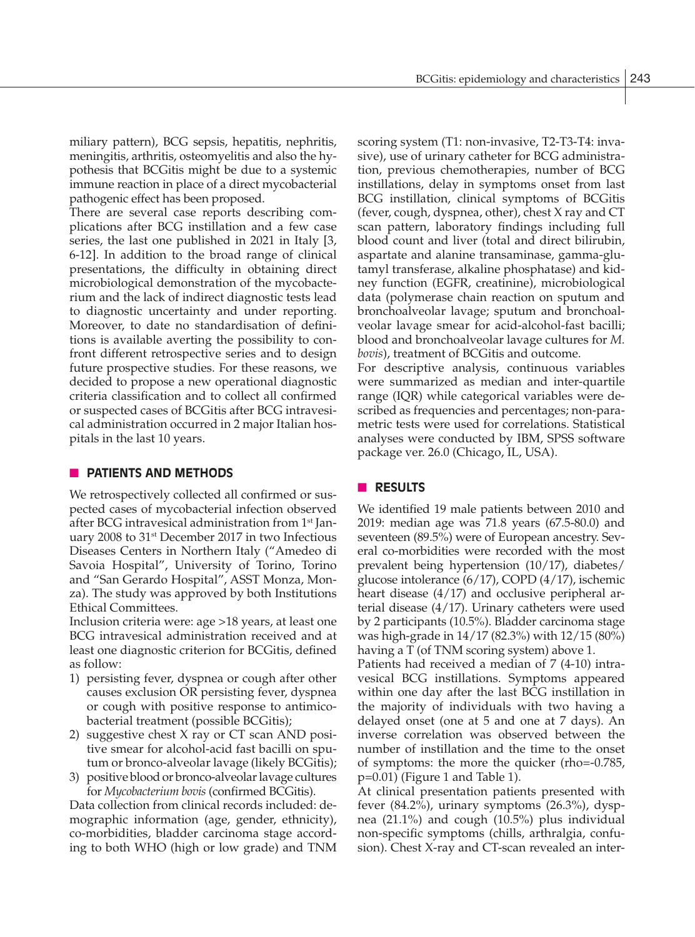miliary pattern), BCG sepsis, hepatitis, nephritis, meningitis, arthritis, osteomyelitis and also the hypothesis that BCGitis might be due to a systemic immune reaction in place of a direct mycobacterial pathogenic effect has been proposed.

There are several case reports describing complications after BCG instillation and a few case series, the last one published in 2021 in Italy [3, 6-12]. In addition to the broad range of clinical presentations, the difficulty in obtaining direct microbiological demonstration of the mycobacterium and the lack of indirect diagnostic tests lead to diagnostic uncertainty and under reporting. Moreover, to date no standardisation of definitions is available averting the possibility to confront different retrospective series and to design future prospective studies. For these reasons, we decided to propose a new operational diagnostic criteria classification and to collect all confirmed or suspected cases of BCGitis after BCG intravesical administration occurred in 2 major Italian hospitals in the last 10 years.

# **PATIENTS AND METHODS**

We retrospectively collected all confirmed or suspected cases of mycobacterial infection observed after BCG intravesical administration from 1<sup>st</sup> January 2008 to 31st December 2017 in two Infectious Diseases Centers in Northern Italy ("Amedeo di Savoia Hospital", University of Torino, Torino and "San Gerardo Hospital", ASST Monza, Monza). The study was approved by both Institutions Ethical Committees.

Inclusion criteria were: age >18 years, at least one BCG intravesical administration received and at least one diagnostic criterion for BCGitis, defined as follow:

- 1) persisting fever, dyspnea or cough after other causes exclusion OR persisting fever, dyspnea or cough with positive response to antimicobacterial treatment (possible BCGitis);
- 2) suggestive chest X ray or CT scan AND positive smear for alcohol-acid fast bacilli on sputum or bronco-alveolar lavage (likely BCGitis);
- 3) positive blood or bronco-alveolar lavage cultures for *Mycobacterium bovis* (confirmed BCGitis).

Data collection from clinical records included: demographic information (age, gender, ethnicity), co-morbidities, bladder carcinoma stage according to both WHO (high or low grade) and TNM scoring system (T1: non-invasive, T2-T3-T4: invasive), use of urinary catheter for BCG administration, previous chemotherapies, number of BCG instillations, delay in symptoms onset from last BCG instillation, clinical symptoms of BCGitis (fever, cough, dyspnea, other), chest X ray and CT scan pattern, laboratory findings including full blood count and liver (total and direct bilirubin, aspartate and alanine transaminase, gamma-glutamyl transferase, alkaline phosphatase) and kidney function (EGFR, creatinine), microbiological data (polymerase chain reaction on sputum and bronchoalveolar lavage; sputum and bronchoalveolar lavage smear for acid-alcohol-fast bacilli; blood and bronchoalveolar lavage cultures for *M. bovis*), treatment of BCGitis and outcome.

For descriptive analysis, continuous variables were summarized as median and inter-quartile range (IQR) while categorical variables were described as frequencies and percentages; non-parametric tests were used for correlations. Statistical analyses were conducted by IBM, SPSS software package ver. 26.0 (Chicago, IL, USA).

# **n RESULTS**

We identified 19 male patients between 2010 and 2019: median age was 71.8 years (67.5-80.0) and seventeen (89.5%) were of European ancestry. Several co-morbidities were recorded with the most prevalent being hypertension (10/17), diabetes/ glucose intolerance (6/17), COPD (4/17), ischemic heart disease (4/17) and occlusive peripheral arterial disease (4/17). Urinary catheters were used by 2 participants (10.5%). Bladder carcinoma stage was high-grade in 14/17 (82.3%) with 12/15 (80%) having a T (of TNM scoring system) above 1.

Patients had received a median of 7 (4-10) intravesical BCG instillations. Symptoms appeared within one day after the last BCG instillation in the majority of individuals with two having a delayed onset (one at 5 and one at 7 days). An inverse correlation was observed between the number of instillation and the time to the onset of symptoms: the more the quicker (rho=-0.785, p=0.01) (Figure 1 and Table 1).

At clinical presentation patients presented with fever (84.2%), urinary symptoms (26.3%), dyspnea (21.1%) and cough (10.5%) plus individual non-specific symptoms (chills, arthralgia, confusion). Chest X-ray and CT-scan revealed an inter-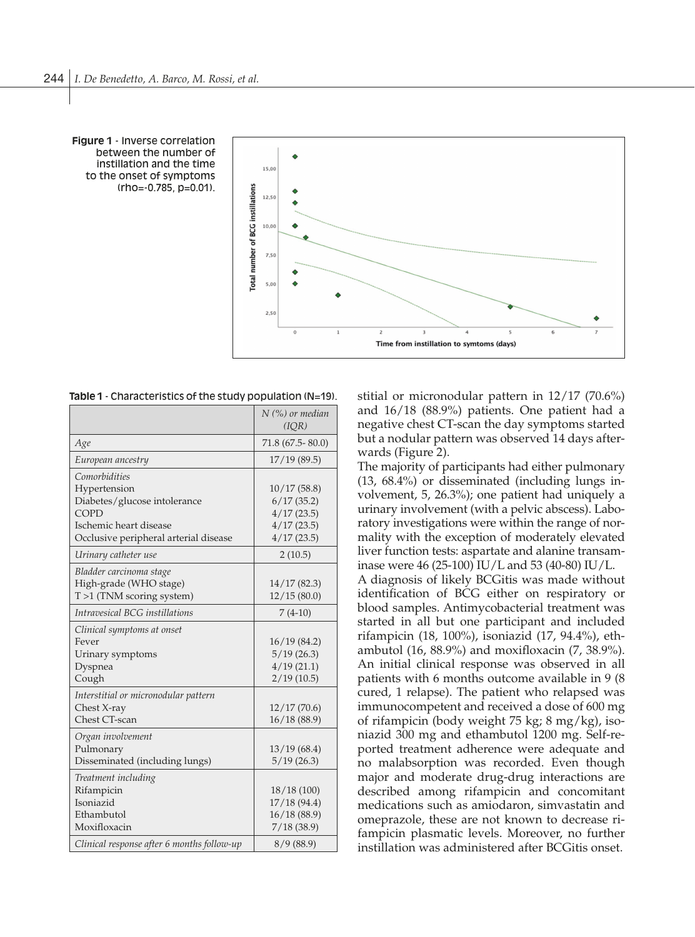

**Figure 1** - Inverse correlation between the number of instillation and the time to the onset of symptoms (rho=-0.785, p=0.01).

**Table 1** - Characteristics of the study population (N=19).

|                                                                                                                                                 | $N$ (%) or median<br>(IQR)                                          |
|-------------------------------------------------------------------------------------------------------------------------------------------------|---------------------------------------------------------------------|
| Age                                                                                                                                             | 71.8 (67.5-80.0)                                                    |
| European ancestry                                                                                                                               | 17/19(89.5)                                                         |
| Comorbidities<br>Hypertension<br>Diabetes/glucose intolerance<br><b>COPD</b><br>Ischemic heart disease<br>Occlusive peripheral arterial disease | 10/17(58.8)<br>6/17(35.2)<br>4/17(23.5)<br>4/17(23.5)<br>4/17(23.5) |
| Urinary catheter use                                                                                                                            | 2(10.5)                                                             |
| Bladder carcinoma stage<br>High-grade (WHO stage)<br>$T > 1$ (TNM scoring system)                                                               | 14/17(82.3)<br>12/15(80.0)                                          |
| Intravesical BCG instillations                                                                                                                  | $7(4-10)$                                                           |
| Clinical symptoms at onset<br>Fever<br>Urinary symptoms<br>Dyspnea<br>Cough                                                                     | 16/19(84.2)<br>5/19(26.3)<br>4/19(21.1)<br>2/19(10.5)               |
| Interstitial or micronodular pattern<br>Chest X-ray<br>Chest CT-scan                                                                            | 12/17(70.6)<br>16/18(88.9)                                          |
| Organ involvement<br>Pulmonary<br>Disseminated (including lungs)                                                                                | 13/19(68.4)<br>5/19(26.3)                                           |
| Treatment including<br>Rifampicin<br>Isoniazid<br>Ethambutol<br>Moxifloxacin                                                                    | 18/18(100)<br>17/18(94.4)<br>16/18(88.9)<br>7/18(38.9)              |
| Clinical response after 6 months follow-up                                                                                                      | 8/9(88.9)                                                           |

stitial or micronodular pattern in 12/17 (70.6%) and 16/18 (88.9%) patients. One patient had a negative chest CT-scan the day symptoms started but a nodular pattern was observed 14 days afterwards (Figure 2).

The majority of participants had either pulmonary (13, 68.4%) or disseminated (including lungs involvement, 5, 26.3%); one patient had uniquely a urinary involvement (with a pelvic abscess). Laboratory investigations were within the range of normality with the exception of moderately elevated liver function tests: aspartate and alanine transaminase were 46 (25-100) IU/L and 53 (40-80) IU/L. A diagnosis of likely BCGitis was made without identification of BCG either on respiratory or blood samples. Antimycobacterial treatment was started in all but one participant and included rifampicin (18, 100%), isoniazid (17, 94.4%), ethambutol (16, 88.9%) and moxifloxacin (7, 38.9%). An initial clinical response was observed in all patients with 6 months outcome available in 9 (8 cured, 1 relapse). The patient who relapsed was immunocompetent and received a dose of 600 mg of rifampicin (body weight 75 kg; 8 mg/kg), isoniazid 300 mg and ethambutol 1200 mg. Self-reported treatment adherence were adequate and no malabsorption was recorded. Even though major and moderate drug-drug interactions are described among rifampicin and concomitant medications such as amiodaron, simvastatin and omeprazole, these are not known to decrease rifampicin plasmatic levels. Moreover, no further instillation was administered after BCGitis onset.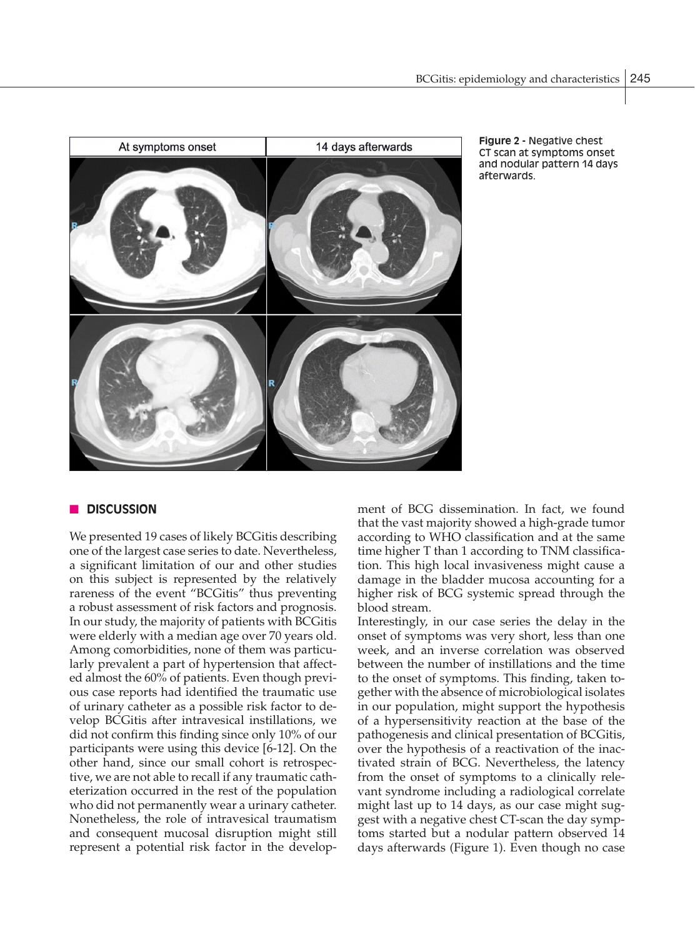



## **n** DISCUSSION

We presented 19 cases of likely BCGitis describing one of the largest case series to date. Nevertheless, a significant limitation of our and other studies on this subject is represented by the relatively rareness of the event "BCGitis" thus preventing a robust assessment of risk factors and prognosis. In our study, the majority of patients with BCGitis were elderly with a median age over 70 years old. Among comorbidities, none of them was particularly prevalent a part of hypertension that affected almost the 60% of patients. Even though previous case reports had identified the traumatic use of urinary catheter as a possible risk factor to develop BCGitis after intravesical instillations, we did not confirm this finding since only 10% of our participants were using this device [6-12]. On the other hand, since our small cohort is retrospective, we are not able to recall if any traumatic catheterization occurred in the rest of the population who did not permanently wear a urinary catheter. Nonetheless, the role of intravesical traumatism and consequent mucosal disruption might still represent a potential risk factor in the development of BCG dissemination. In fact, we found that the vast majority showed a high-grade tumor according to WHO classification and at the same time higher T than 1 according to TNM classification. This high local invasiveness might cause a damage in the bladder mucosa accounting for a higher risk of BCG systemic spread through the blood stream.

Interestingly, in our case series the delay in the onset of symptoms was very short, less than one week, and an inverse correlation was observed between the number of instillations and the time to the onset of symptoms. This finding, taken together with the absence of microbiological isolates in our population, might support the hypothesis of a hypersensitivity reaction at the base of the pathogenesis and clinical presentation of BCGitis, over the hypothesis of a reactivation of the inactivated strain of BCG. Nevertheless, the latency from the onset of symptoms to a clinically relevant syndrome including a radiological correlate might last up to 14 days, as our case might suggest with a negative chest CT-scan the day symptoms started but a nodular pattern observed 14 days afterwards (Figure 1). Even though no case